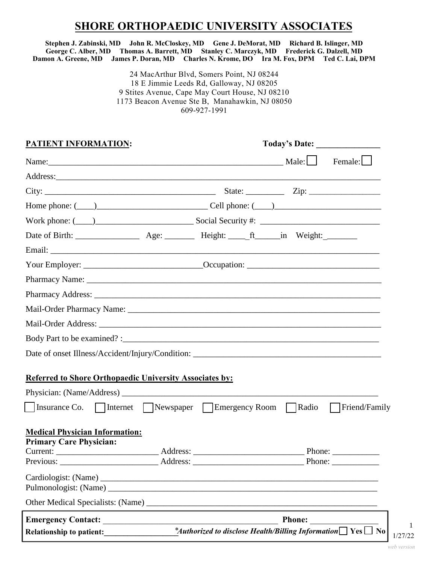## **SHORE ORTHOPAEDIC UNIVERSITY ASSOCIATES**

**Stephen J. Zabinski, MD John R. McCloskey, MD Gene J. DeMorat, MD Richard B. Islinger, MD George C. Alber, MD Thomas A. Barrett, MD Stanley C. Marczyk, MD Frederick G. Dalzell, MD Damon A. Greene, MD James P. Doran, MD Charles N. Krome, DO Ira M. Fox, DPM Ted C. Lai, DPM** 

> 24 MacArthur Blvd, Somers Point, NJ 08244 18 E Jimmie Leeds Rd, Galloway, NJ 08205 9 Stites Avenue, Cape May Court House, NJ 08210 1173 Beacon Avenue Ste B, Manahawkin, NJ 08050 609-927-1991

| <b>PATIENT INFORMATION:</b>                                             | Today's Date:                                                                                             |  |  |
|-------------------------------------------------------------------------|-----------------------------------------------------------------------------------------------------------|--|--|
|                                                                         | Male: $\Box$<br>Female: $\Box$                                                                            |  |  |
|                                                                         | Address:                                                                                                  |  |  |
|                                                                         |                                                                                                           |  |  |
|                                                                         | Home phone: $(\_\_)$ Cell phone: $(\_\_)$                                                                 |  |  |
|                                                                         |                                                                                                           |  |  |
|                                                                         |                                                                                                           |  |  |
|                                                                         |                                                                                                           |  |  |
|                                                                         |                                                                                                           |  |  |
|                                                                         |                                                                                                           |  |  |
|                                                                         |                                                                                                           |  |  |
|                                                                         |                                                                                                           |  |  |
|                                                                         |                                                                                                           |  |  |
|                                                                         |                                                                                                           |  |  |
|                                                                         |                                                                                                           |  |  |
|                                                                         |                                                                                                           |  |  |
| Referred to Shore Orthopaedic University Associates by:                 |                                                                                                           |  |  |
|                                                                         |                                                                                                           |  |  |
|                                                                         | Insurance Co.   Internet   Newspaper   Emergency Room   Radio   Friend/Family                             |  |  |
| <b>Medical Physician Information:</b><br><b>Primary Care Physician:</b> |                                                                                                           |  |  |
|                                                                         | Address:<br>Phone:                                                                                        |  |  |
|                                                                         | Phone: $\frac{1}{\sqrt{1-\frac{1}{2}}}\left\{ \frac{1}{2}, \frac{1}{2}, \frac{1}{2}, \frac{1}{2}\right\}$ |  |  |
|                                                                         |                                                                                                           |  |  |
|                                                                         |                                                                                                           |  |  |
|                                                                         | <b>Phone:</b>                                                                                             |  |  |
| Relationship to patient:                                                | *Authorized to disclose Health/Billing Information $\Box$ Yes $\Box$                                      |  |  |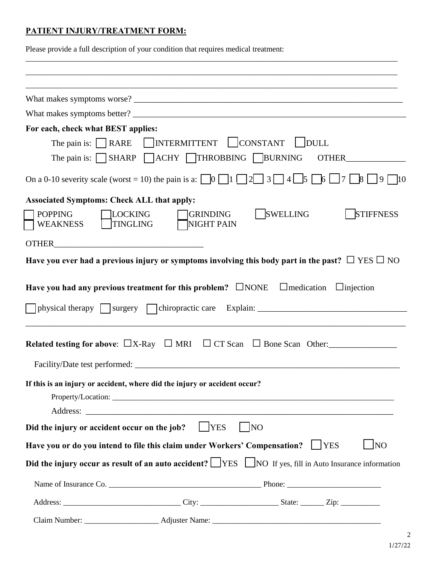## **PATIENT INJURY/TREATMENT FORM:**

Please provide a full description of your condition that requires medical treatment:

| For each, check what BEST applies:                                                                                                                                                                |                               |                 |                                |
|---------------------------------------------------------------------------------------------------------------------------------------------------------------------------------------------------|-------------------------------|-----------------|--------------------------------|
| The pain is: $\Box$ RARE $\Box$ INTERMITTENT $\Box$ CONSTANT                                                                                                                                      |                               | $\vert$ DULL    |                                |
| The pain is: $\Box$ SHARP $\Box$ ACHY $\Box$ THROBBING $\Box$ BURNING                                                                                                                             |                               |                 |                                |
| On a 0-10 severity scale (worst = 10) the pain is a: $\Box$ 0 $\Box$ 1 $\Box$ 2 $\Box$ 3 $\Box$ 4 $\Box$ 5 $\Box$ 6 $\Box$ 7 $\Box$ 8 $\Box$ 9 $\Box$ 10                                          |                               |                 |                                |
| <b>Associated Symptoms: Check ALL that apply:</b>                                                                                                                                                 |                               |                 |                                |
| <b>POPPING</b><br><b>LOCKING</b><br><b>TINGLING</b><br><b>WEAKNESS</b>                                                                                                                            | <b>GRINDING</b><br>NIGHT PAIN | <b>SWELLING</b> | <b>STIFFNESS</b>               |
| OTHER <b>EXECUTER</b>                                                                                                                                                                             |                               |                 |                                |
| Have you ever had a previous injury or symptoms involving this body part in the past? $\Box$ YES $\Box$ NO                                                                                        |                               |                 |                                |
| Have you had any previous treatment for this problem? $\square$ NONE $\square$ medication $\square$ injection<br>physical therapy surgery chiropractic care Explain: ____________________________ |                               |                 |                                |
| Related testing for above: $\Box X$ -Ray $\Box$ MRI $\Box$ CT Scan $\Box$ Bone Scan Other:                                                                                                        |                               |                 |                                |
| If this is an injury or accident, where did the injury or accident occur?                                                                                                                         |                               |                 |                                |
| Did the injury or accident occur on the job? $\Box$ YES                                                                                                                                           |                               | $\vert$ NO      |                                |
| Have you or do you intend to file this claim under Workers' Compensation?                                                                                                                         |                               |                 | $\blacksquare$ NO<br>$ $   YES |
| Did the injury occur as result of an auto accident? $\Box$ YES $\Box$ NO If yes, fill in Auto Insurance information                                                                               |                               |                 |                                |
|                                                                                                                                                                                                   |                               |                 |                                |
|                                                                                                                                                                                                   |                               |                 |                                |
|                                                                                                                                                                                                   |                               |                 |                                |

\_\_\_\_\_\_\_\_\_\_\_\_\_\_\_\_\_\_\_\_\_\_\_\_\_\_\_\_\_\_\_\_\_\_\_\_\_\_\_\_\_\_\_\_\_\_\_\_\_\_\_\_\_\_\_\_\_\_\_\_\_\_\_\_\_\_\_\_\_\_\_\_\_\_\_\_\_\_\_\_\_\_\_\_\_\_\_\_\_\_\_\_\_\_\_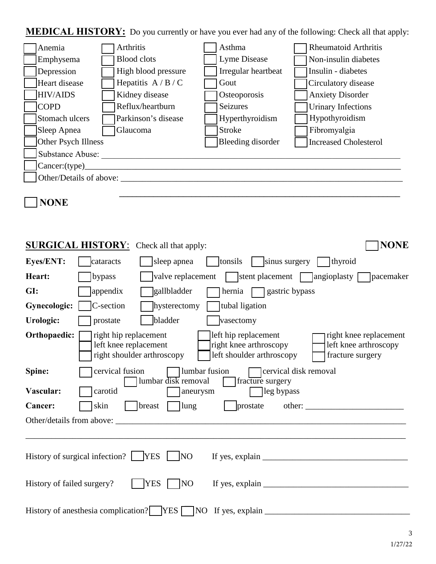**MEDICAL HISTORY:** Do you currently or have you ever had any of the following: Check all that apply:

| Anemia                  | Arthritis           | Asthma              | <b>Rheumatoid Arthritis</b>  |
|-------------------------|---------------------|---------------------|------------------------------|
| Emphysema               | <b>Blood</b> clots  | Lyme Disease        | Non-insulin diabetes         |
| Depression              | High blood pressure | Irregular heartbeat | Insulin - diabetes           |
| Heart disease           | Hepatitis $A/B/C$   | Gout                | Circulatory disease          |
| <b>HIV/AIDS</b>         | Kidney disease      | Osteoporosis        | <b>Anxiety Disorder</b>      |
| <b>COPD</b>             | Reflux/heartburn    | Seizures            | <b>Urinary Infections</b>    |
| Stomach ulcers          | Parkinson's disease | Hyperthyroidism     | Hypothyroidism               |
| Sleep Apnea             | Glaucoma            | <b>Stroke</b>       | Fibromyalgia                 |
| Other Psych Illness     |                     | Bleeding disorder   | <b>Increased Cholesterol</b> |
| Substance Abuse:        |                     |                     |                              |
| Cancer:(type)           |                     |                     |                              |
| Other/Details of above: |                     |                     |                              |
|                         |                     |                     |                              |

# **NONE**

| <b>NONE</b><br><b>SURGICAL HISTORY:</b> Check all that apply:                                                                                                                                                                                      |
|----------------------------------------------------------------------------------------------------------------------------------------------------------------------------------------------------------------------------------------------------|
| <b>Eyes/ENT:</b><br>  $\vert$ tonsils   $\vert$ sinus surgery<br>sleep apnea<br>thyroid<br>cataracts                                                                                                                                               |
| $\vert$ valve replacement stems stems likely stems are parameter $\vert$ angioplasty $\vert$ pacemaker<br>Heart:<br>bypass                                                                                                                         |
| GI:<br>appendix<br>gallbladder<br>$h$ ernia $\Box$ gastric bypass                                                                                                                                                                                  |
| C-section<br>tubal ligation<br><b>Gynecologic:</b><br>hysterectomy                                                                                                                                                                                 |
| bladder<br>Urologic:<br>prostate<br>vasectomy                                                                                                                                                                                                      |
| Orthopaedic:<br>right hip replacement<br>left hip replacement<br>right knee replacement<br>left knee replacement<br>right knee arthroscopy<br>left knee arthroscopy<br>left shoulder arthroscopy<br>right shoulder arthroscopy<br>fracture surgery |
| cervical fusion<br>lumbar fusion<br>Spine:<br>cervical disk removal<br>lumbar disk removal<br>fracture surgery<br>Vascular:<br>carotid<br>leg bypass<br>aneurysm                                                                                   |
| skin<br>$\lceil$ lung<br><b>Cancer:</b><br>breast<br>prostate<br>other:                                                                                                                                                                            |
|                                                                                                                                                                                                                                                    |
| History of surgical infection? $\Box$ YES<br>$\vert$ NO                                                                                                                                                                                            |
| <b>YES</b><br>History of failed surgery?<br>NO                                                                                                                                                                                                     |
| History of anesthesia complication? YES NO If yes, explain ______                                                                                                                                                                                  |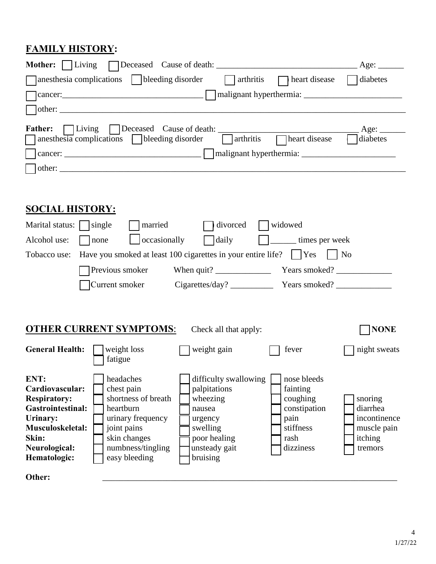## **FAMILY HISTORY:**

| <b>Mother:</b>   Living<br>anesthesia complications subseteing disorder<br>$\parallel$ arthritis<br>heart disease   diabetes<br><b>Father:</b><br>Living Deceased Cause of death:<br>$\qquad \qquad \text{Age:} \qquad$<br>$arthritis$ $\Box$ heart disease<br>$anesthesia$ complications bleeding disorder<br>$\Box$ diabetes                                                                                                                                                                                                                                                                                                                                                                                                  |
|---------------------------------------------------------------------------------------------------------------------------------------------------------------------------------------------------------------------------------------------------------------------------------------------------------------------------------------------------------------------------------------------------------------------------------------------------------------------------------------------------------------------------------------------------------------------------------------------------------------------------------------------------------------------------------------------------------------------------------|
|                                                                                                                                                                                                                                                                                                                                                                                                                                                                                                                                                                                                                                                                                                                                 |
| <b>SOCIAL HISTORY:</b><br>Marital status: $\Box$ single<br>married<br>$\lceil$ divorced $\lceil$ widowed<br>occasionally<br>$\Box$ daily<br>Alcohol use:<br>$\Box$ none<br>$\left  \right $ $\left  \right $ $\left  \right $ $\left  \right $ $\left  \right $ $\left  \right $ $\left  \right $ $\left  \right $ $\left  \right $ $\left  \right $ $\left  \right $ $\left  \right $ $\left  \right $ $\left  \right $ $\left  \right $ $\left  \right $ $\left  \right $ $\left  \right $ $\left  \right $ $\left  \right $ $\left  \right $ $\left  \right $ $\left  \right $ $\left  \right $ $\left  \$<br>Have you smoked at least 100 cigarettes in your entire life?     Yes     No<br>Tobacco use:<br>Previous smoker |
|                                                                                                                                                                                                                                                                                                                                                                                                                                                                                                                                                                                                                                                                                                                                 |
| <b>OTHER CURRENT SYMPTOMS:</b><br><b>NONE</b><br>Check all that apply:                                                                                                                                                                                                                                                                                                                                                                                                                                                                                                                                                                                                                                                          |
| General Health:<br>weight loss<br>weight gain<br>night sweats<br>fever<br>fatigue                                                                                                                                                                                                                                                                                                                                                                                                                                                                                                                                                                                                                                               |
| ENT:<br>headaches<br>difficulty swallowing<br>nose bleeds<br>Cardiovascular:<br>chest pain<br>palpitations<br>fainting<br>shortness of breath<br>coughing<br><b>Respiratory:</b><br>wheezing<br>snoring<br><b>Gastrointestinal:</b><br>heartburn<br>constipation<br>diarrhea<br>nausea<br>Urinary:<br>urinary frequency<br>incontinence<br>pain<br>urgency<br>Musculoskeletal:<br>joint pains<br>stiffness<br>swelling<br>muscle pain<br>Skin:<br>skin changes<br>poor healing<br>itching<br>rash<br>Neurological:<br>numbness/tingling<br>unsteady gait<br>dizziness<br>tremors<br>bruising<br>Hematologic:<br>easy bleeding                                                                                                   |
| Other:                                                                                                                                                                                                                                                                                                                                                                                                                                                                                                                                                                                                                                                                                                                          |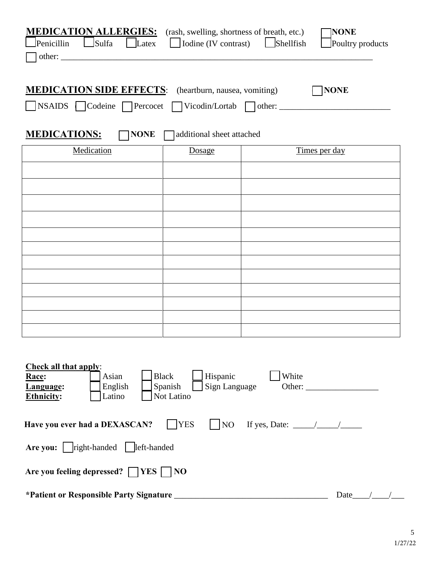| <b>MEDICATION ALLERGIES:</b> (rash, swelling, shortness of breath, etc.)         |                                        |                                    | <b>NONE</b>      |  |
|----------------------------------------------------------------------------------|----------------------------------------|------------------------------------|------------------|--|
| Sulfa<br>Penicillin<br>$ $ $ $ Latex                                             | $\Box$ Iodine (IV contrast)            | $S$ hellfish                       | Poultry products |  |
|                                                                                  |                                        |                                    |                  |  |
|                                                                                  |                                        |                                    |                  |  |
| <b>MEDICATION SIDE EFFECTS:</b> (heartburn, nausea, vomiting)                    |                                        |                                    | <b>NONE</b>      |  |
| NSAIDS Codeine Percocet Vicodin/Lortab Other: __________________________________ |                                        |                                    |                  |  |
|                                                                                  |                                        |                                    |                  |  |
|                                                                                  |                                        |                                    |                  |  |
| <b>MEDICATIONS:</b><br><b>NONE</b>                                               | additional sheet attached              |                                    |                  |  |
| Medication                                                                       | Dosage                                 |                                    | Times per day    |  |
|                                                                                  |                                        |                                    |                  |  |
|                                                                                  |                                        |                                    |                  |  |
|                                                                                  |                                        |                                    |                  |  |
|                                                                                  |                                        |                                    |                  |  |
|                                                                                  |                                        |                                    |                  |  |
|                                                                                  |                                        |                                    |                  |  |
|                                                                                  |                                        |                                    |                  |  |
|                                                                                  |                                        |                                    |                  |  |
|                                                                                  |                                        |                                    |                  |  |
|                                                                                  |                                        |                                    |                  |  |
|                                                                                  |                                        |                                    |                  |  |
|                                                                                  |                                        |                                    |                  |  |
|                                                                                  |                                        |                                    |                  |  |
|                                                                                  |                                        |                                    |                  |  |
| <b>Check all that apply:</b>                                                     |                                        |                                    |                  |  |
| Race:<br>Asian                                                                   | <b>Black</b><br>Hispanic               | White                              |                  |  |
| English<br>Language:<br><b>Ethnicity:</b><br>Latino                              | Sign Language<br>Spanish<br>Not Latino |                                    |                  |  |
|                                                                                  |                                        |                                    |                  |  |
| Have you ever had a DEXASCAN?                                                    | <b>YES</b><br>NO <sub>1</sub>          | If yes, Date: $\frac{\sqrt{2}}{2}$ |                  |  |
|                                                                                  |                                        |                                    |                  |  |
|                                                                                  |                                        |                                    |                  |  |
|                                                                                  |                                        |                                    |                  |  |
| Are you feeling depressed? $\Box$ YES $\Box$ NO                                  |                                        |                                    |                  |  |
|                                                                                  |                                        |                                    |                  |  |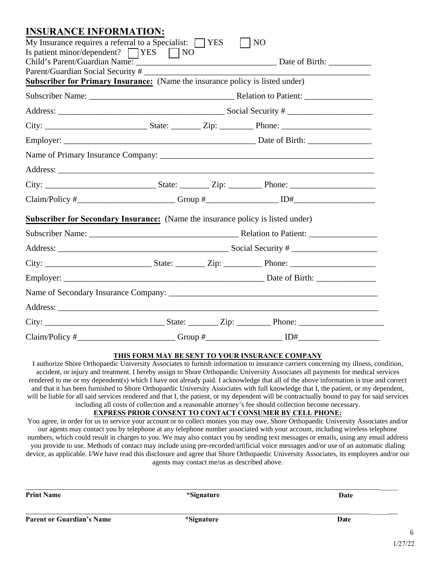| <b>INSURANCE INFORMATION:</b>                                                          |  |              |
|----------------------------------------------------------------------------------------|--|--------------|
| My Insurance requires a referral to a Specialist: $\Box$ YES                           |  | $\vert$   NO |
| Is patient minor/dependent? $\Box$ YES $\Box$ NO                                       |  |              |
|                                                                                        |  |              |
|                                                                                        |  |              |
| <b>Subscriber for Primary Insurance:</b> (Name the insurance policy is listed under)   |  |              |
|                                                                                        |  |              |
|                                                                                        |  |              |
|                                                                                        |  |              |
|                                                                                        |  |              |
|                                                                                        |  |              |
|                                                                                        |  |              |
|                                                                                        |  |              |
|                                                                                        |  |              |
| <b>Subscriber for Secondary Insurance:</b> (Name the insurance policy is listed under) |  |              |
|                                                                                        |  |              |
|                                                                                        |  |              |
|                                                                                        |  |              |
|                                                                                        |  |              |
|                                                                                        |  |              |
|                                                                                        |  |              |
|                                                                                        |  |              |
|                                                                                        |  |              |

#### **THIS FORM MAY BE SENT TO YOUR INSURANCE COMPANY**

I authorize Shore Orthopaedic University Associates to furnish information to insurance carriers concerning my illness, condition, accident, or injury and treatment. I hereby assign to Shore Orthopaedic University Associates all payments for medical services rendered to me or my dependent(s) which I have not already paid. I acknowledge that all of the above information is true and correct and that it has been furnished to Shore Orthopaedic University Associates with full knowledge that I, the patient, or my dependent, will be liable for all said services rendered and that I, the patient, or my dependent will be contractually bound to pay for said services including all costs of collection and a reasonable attorney's fee should collection become necessary.

### **EXPRESS PRIOR CONSENT TO CONTACT CONSUMER BY CELL PHONE:**

You agree, in order for us to service your account or to collect monies you may owe, Shore Orthopaedic University Associates and/or our agents may contact you by telephone at any telephone number associated with your account, including wireless telephone numbers, which could result in charges to you. We may also contact you by sending text messages or emails, using any email address you provide to use. Methods of contact may include using pre-recorded/artificial voice messages and/or use of an automatic dialing device, as applicable. I/We have read this disclosure and agree that Shore Orthopaedic University Associates, its employees and/or our agents may contact me/us as described above.

| <b>Print Name</b>                | *Signature | Date |
|----------------------------------|------------|------|
| <b>Parent or Guardian's Name</b> | *Signature | Date |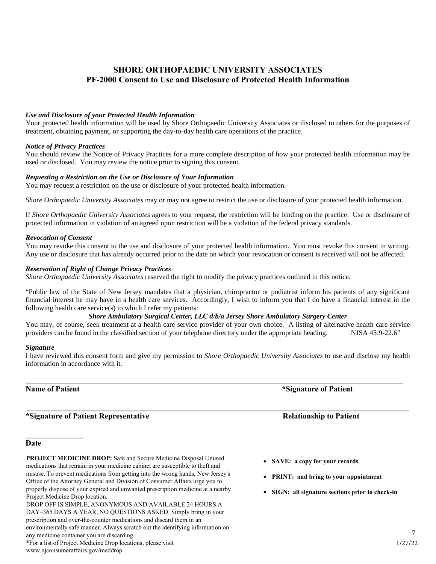## **SHORE ORTHOPAEDIC UNIVERSITY ASSOCIATES PF-2000 Consent to Use and Disclosure of Protected Health Information**

#### *Use and Disclosure of your Protected Health Information*

Your protected health information will be used by Shore Orthopaedic University Associates or disclosed to others for the purposes of treatment, obtaining payment, or supporting the day-to-day health care operations of the practice.

#### *Notice of Privacy Practices*

You should review the Notice of Privacy Practices for a more complete description of how your protected health information may be used or disclosed. You may review the notice prior to signing this consent.

#### *Requesting a Restriction on the Use or Disclosure of Your Information*

You may request a restriction on the use or disclosure of your protected health information.

*Shore Orthopaedic University Associates* may or may not agree to restrict the use or disclosure of your protected health information.

If *Shore Orthopaedic University Associates* agrees to your request, the restriction will be binding on the practice. Use or disclosure of protected information in violation of an agreed upon restriction will be a violation of the federal privacy standards.

#### *Revocation of Consent*

You may revoke this consent to the use and disclosure of your protected health information. You must revoke this consent in writing. Any use or disclosure that has already occurred prior to the date on which your revocation or consent is received will not be affected.

#### *Reservation of Right of Change Privacy Practices*

*Shore Orthopaedic University Associates* reserved the right to modify the privacy practices outlined in this notice.

"Public law of the State of New Jersey mandates that a physician, chiropractor or podiatrist inform his patients of any significant financial interest he may have in a health care services. Accordingly, I wish to inform you that I do have a financial interest in the following health care service(s) to which I refer my patients:

#### *Shore Ambulatory Surgical Center, LLC d/b/a Jersey Shore Ambulatory Surgery Center*

You may, of course, seek treatment at a health care service provider of your own choice. A listing of alternative health care service providers can be found in the classified section of your telephone directory under the appropriate heading. NJSA 45:9-22.6"

#### *Signature*

I have reviewed this consent form and give my permission to *Shore Orthopaedic University Associates* to use and disclose my health information in accordance with it.

\_\_\_\_\_\_\_\_\_\_\_\_\_\_\_\_\_\_\_\_\_\_\_\_\_\_\_\_\_\_\_\_\_\_\_\_\_\_\_\_\_\_\_\_\_\_\_\_\_\_\_\_\_\_\_\_\_\_\_\_\_\_\_\_\_\_\_\_\_\_\_\_\_\_\_\_\_\_\_\_\_\_\_\_\_\_\_\_\_\_\_\_\_\_\_\_\_\_\_\_\_\_\_\_\_\_

### **Name of Patient \*Signature** of Patient \*Signature of Patient

**\_\_\_\_\_\_\_\_\_\_\_\_\_\_\_** 

### **\*Signature of Patient Representative Relationship to Patient**

## **Date**

**PROJECT MEDICINE DROP:** Safe and Secure Medicine Disposal Unused medications that remain in your medicine cabinet are susceptible to theft and misuse. To prevent medications from getting into the wrong hands, New Jersey's Office of the Attorney General and Division of Consumer Affairs urge you to properly dispose of your expired and unwanted prescription medicine at a nearby Project Medicine Drop location. DROP OFF IS SIMPLE, ANONYMOUS AND AVAILABLE 24 HOURS A DAY–365 DAYS A YEAR, NO QUESTIONS ASKED. Simply bring in your prescription and over-the-counter medications and discard them in an environmentally safe manner. Always scratch out the identifying information on any medicine container you are discarding.

\*For a list of Project Medicine Drop locations, please visit www.njconsumeraffairs.gov/meddrop

**\_\_\_\_\_\_\_\_\_\_\_\_\_\_\_\_\_\_\_\_\_\_\_\_\_\_\_\_\_\_\_\_\_\_\_\_\_\_\_\_\_\_\_\_\_\_\_\_\_\_\_\_\_\_\_\_\_\_\_\_\_\_\_\_\_\_\_\_\_\_\_\_\_\_\_\_\_\_\_\_\_\_\_\_\_\_\_\_\_\_\_\_\_\_\_\_\_\_** 

- **SAVE: a copy for your records**
- **PRINT: and bring to your appointment**
- **SIGN: all signature sections prior to check-in**